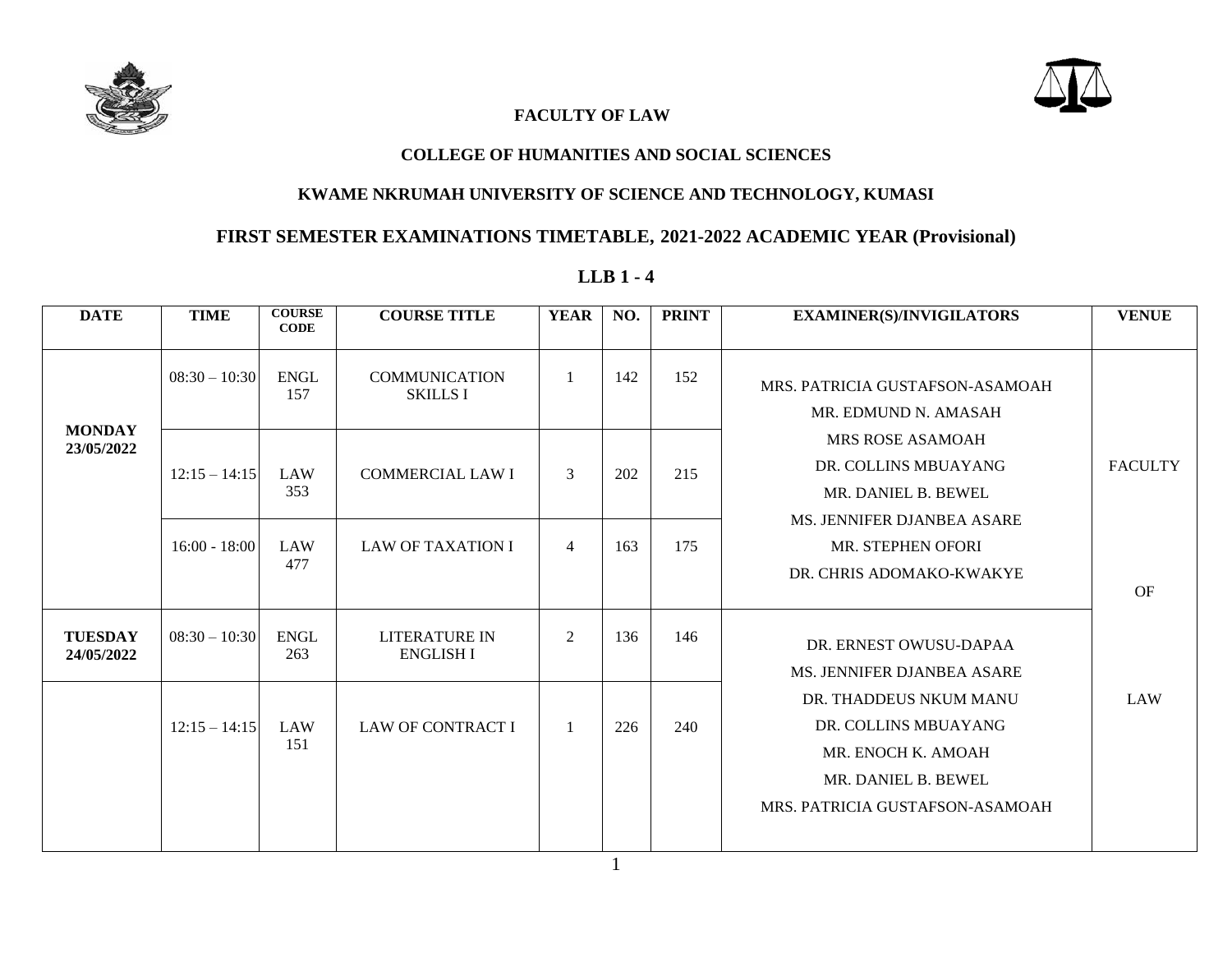



### **FACULTY OF LAW**

#### **COLLEGE OF HUMANITIES AND SOCIAL SCIENCES**

#### **KWAME NKRUMAH UNIVERSITY OF SCIENCE AND TECHNOLOGY, KUMASI**

# **FIRST SEMESTER EXAMINATIONS TIMETABLE, 2021-2022 ACADEMIC YEAR (Provisional)**

### **LLB 1 - 4**

| <b>DATE</b>                  | <b>TIME</b>     | <b>COURSE</b><br><b>CODE</b> | <b>COURSE TITLE</b>                      | <b>YEAR</b>    | NO. | <b>PRINT</b> | <b>EXAMINER(S)/INVIGILATORS</b>                                                                                                | <b>VENUE</b>   |
|------------------------------|-----------------|------------------------------|------------------------------------------|----------------|-----|--------------|--------------------------------------------------------------------------------------------------------------------------------|----------------|
|                              | $08:30 - 10:30$ | <b>ENGL</b><br>157           | <b>COMMUNICATION</b><br><b>SKILLS I</b>  | 1              | 142 | 152          | MRS. PATRICIA GUSTAFSON-ASAMOAH<br>MR. EDMUND N. AMASAH                                                                        |                |
| <b>MONDAY</b><br>23/05/2022  | $12:15 - 14:15$ | LAW<br>353                   | <b>COMMERCIAL LAW I</b>                  | 3              | 202 | 215          | MRS ROSE ASAMOAH<br>DR. COLLINS MBUAYANG<br>MR. DANIEL B. BEWEL<br>MS. JENNIFER DJANBEA ASARE                                  | <b>FACULTY</b> |
|                              | $16:00 - 18:00$ | LAW<br>477                   | <b>LAW OF TAXATION I</b>                 | $\overline{4}$ | 163 | 175          | MR. STEPHEN OFORI<br>DR. CHRIS ADOMAKO-KWAKYE                                                                                  | OF             |
| <b>TUESDAY</b><br>24/05/2022 | $08:30 - 10:30$ | <b>ENGL</b><br>263           | <b>LITERATURE IN</b><br><b>ENGLISH I</b> | $\overline{2}$ | 136 | 146          | DR. ERNEST OWUSU-DAPAA<br>MS. JENNIFER DJANBEA ASARE                                                                           |                |
|                              | $12:15 - 14:15$ | LAW<br>151                   | <b>LAW OF CONTRACT I</b>                 | $\mathbf{1}$   | 226 | 240          | DR. THADDEUS NKUM MANU<br>DR. COLLINS MBUAYANG<br>MR. ENOCH K. AMOAH<br>MR. DANIEL B. BEWEL<br>MRS. PATRICIA GUSTAFSON-ASAMOAH | <b>LAW</b>     |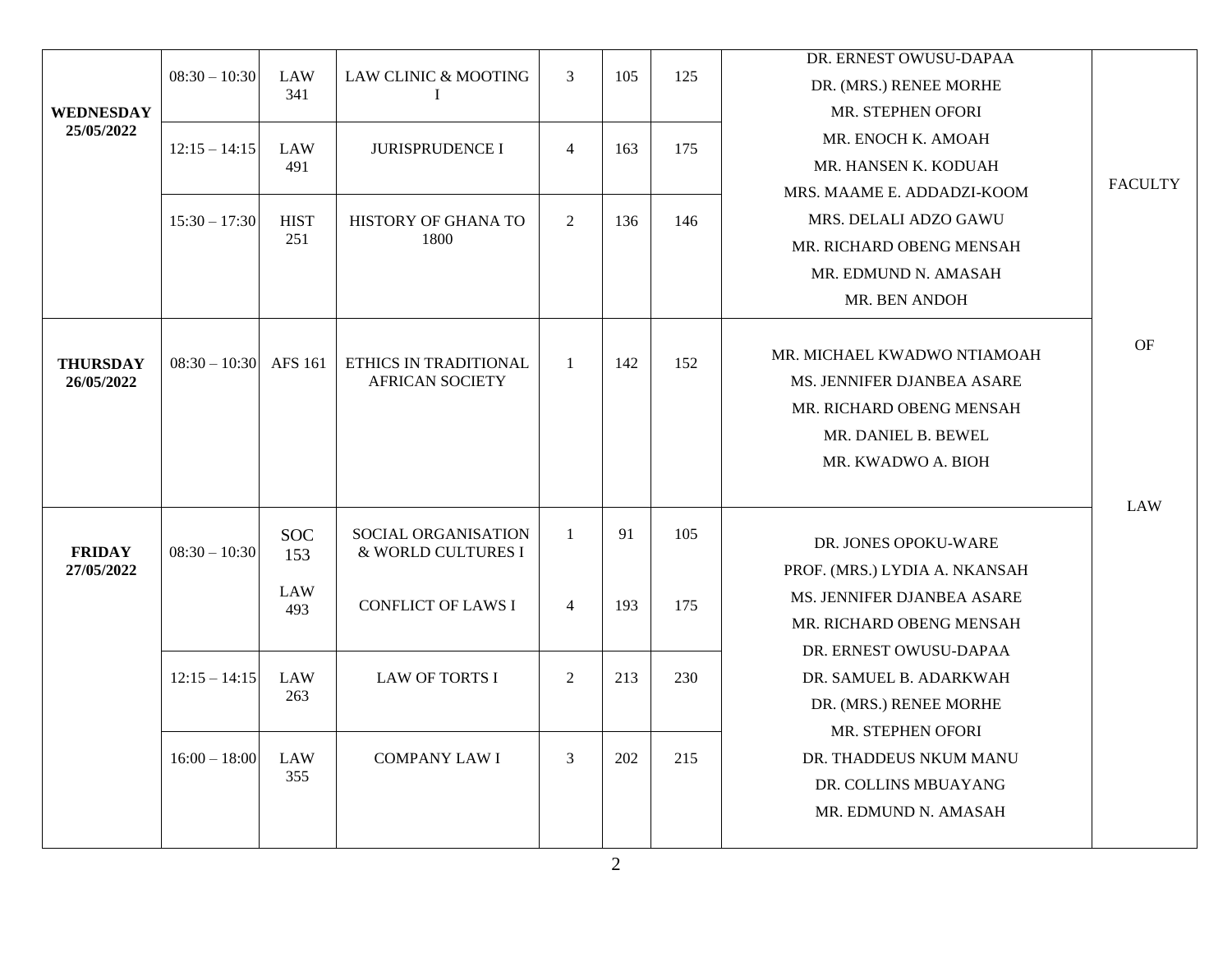|                             |                 |                   |                                                 |                |     |     | DR. ERNEST OWUSU-DAPAA        |                |
|-----------------------------|-----------------|-------------------|-------------------------------------------------|----------------|-----|-----|-------------------------------|----------------|
|                             | $08:30 - 10:30$ | <b>LAW</b><br>341 | LAW CLINIC & MOOTING                            | 3              | 105 | 125 | DR. (MRS.) RENEE MORHE        |                |
| <b>WEDNESDAY</b>            |                 |                   |                                                 |                |     |     | MR. STEPHEN OFORI             |                |
| 25/05/2022                  | $12:15 - 14:15$ | <b>LAW</b>        | <b>JURISPRUDENCE I</b>                          | $\overline{4}$ | 163 | 175 | MR. ENOCH K. AMOAH            |                |
|                             |                 | 491               |                                                 |                |     |     | MR. HANSEN K. KODUAH          | <b>FACULTY</b> |
|                             |                 |                   |                                                 |                |     |     | MRS. MAAME E. ADDADZI-KOOM    |                |
|                             | $15:30 - 17:30$ | <b>HIST</b>       | HISTORY OF GHANA TO                             | 2              | 136 | 146 | MRS. DELALI ADZO GAWU         |                |
|                             |                 | 251               | 1800                                            |                |     |     | MR. RICHARD OBENG MENSAH      |                |
|                             |                 |                   |                                                 |                |     |     | MR. EDMUND N. AMASAH          |                |
|                             |                 |                   |                                                 |                |     |     | MR. BEN ANDOH                 |                |
|                             |                 |                   |                                                 |                |     |     |                               | OF             |
| <b>THURSDAY</b>             | $08:30 - 10:30$ | AFS 161           | ETHICS IN TRADITIONAL<br><b>AFRICAN SOCIETY</b> | -1             | 142 | 152 | MR. MICHAEL KWADWO NTIAMOAH   |                |
| 26/05/2022                  |                 |                   |                                                 |                |     |     | MS. JENNIFER DJANBEA ASARE    |                |
|                             |                 |                   |                                                 |                |     |     | MR. RICHARD OBENG MENSAH      |                |
|                             |                 |                   |                                                 |                |     |     | MR. DANIEL B. BEWEL           |                |
|                             |                 |                   |                                                 |                |     |     | MR. KWADWO A. BIOH            |                |
|                             |                 |                   |                                                 |                |     |     |                               | <b>LAW</b>     |
|                             |                 | <b>SOC</b>        | SOCIAL ORGANISATION                             | $\mathbf{1}$   | 91  | 105 | DR. JONES OPOKU-WARE          |                |
| <b>FRIDAY</b><br>27/05/2022 | $08:30 - 10:30$ | 153               | & WORLD CULTURES I                              |                |     |     | PROF. (MRS.) LYDIA A. NKANSAH |                |
|                             |                 | <b>LAW</b>        |                                                 |                |     |     | MS. JENNIFER DJANBEA ASARE    |                |
|                             |                 | 493               | <b>CONFLICT OF LAWS I</b>                       | $\overline{4}$ | 193 | 175 | MR. RICHARD OBENG MENSAH      |                |
|                             |                 |                   |                                                 |                |     |     | DR. ERNEST OWUSU-DAPAA        |                |
|                             | $12:15 - 14:15$ | <b>LAW</b>        | <b>LAW OF TORTS I</b>                           | 2              | 213 | 230 | DR. SAMUEL B. ADARKWAH        |                |
|                             |                 | 263               |                                                 |                |     |     | DR. (MRS.) RENEE MORHE        |                |
|                             |                 |                   |                                                 |                |     |     | MR. STEPHEN OFORI             |                |
|                             | $16:00 - 18:00$ | <b>LAW</b>        | <b>COMPANY LAW I</b>                            | 3              | 202 | 215 | DR. THADDEUS NKUM MANU        |                |
|                             |                 | 355               |                                                 |                |     |     | DR. COLLINS MBUAYANG          |                |
|                             |                 |                   |                                                 |                |     |     | MR. EDMUND N. AMASAH          |                |
|                             |                 |                   |                                                 |                |     |     |                               |                |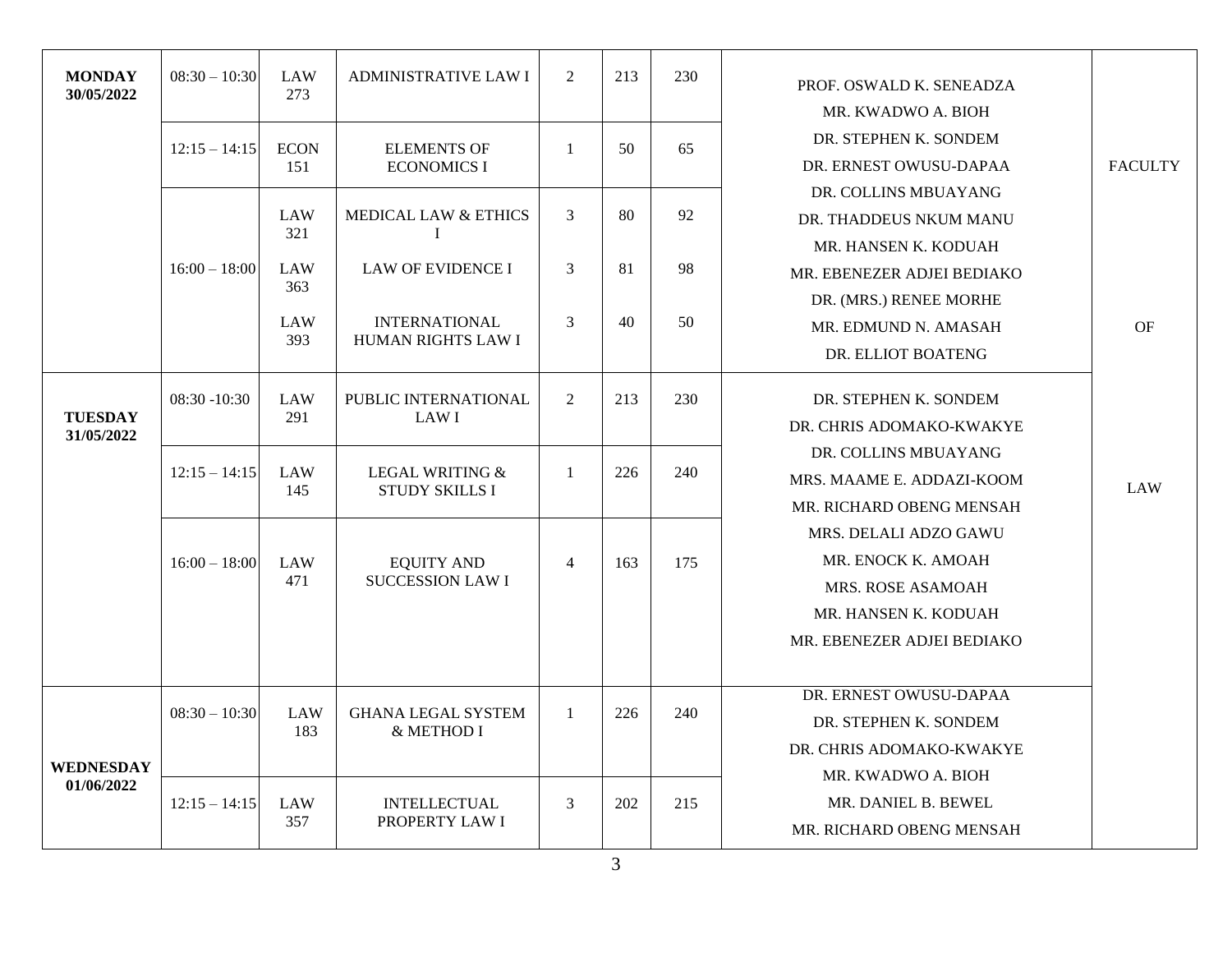| <b>MONDAY</b><br>30/05/2022  | $08:30 - 10:30$<br>$12:15 - 14:15$ | LAW<br>273<br><b>ECON</b> | <b>ADMINISTRATIVE LAW I</b><br><b>ELEMENTS OF</b> | 2<br>$\mathbf{1}$ | 213<br>50 | 230<br>65 | PROF. OSWALD K. SENEADZA<br>MR. KWADWO A. BIOH<br>DR. STEPHEN K. SONDEM                                                       |                |
|------------------------------|------------------------------------|---------------------------|---------------------------------------------------|-------------------|-----------|-----------|-------------------------------------------------------------------------------------------------------------------------------|----------------|
|                              |                                    | 151                       | <b>ECONOMICS I</b>                                |                   |           |           | DR. ERNEST OWUSU-DAPAA<br>DR. COLLINS MBUAYANG                                                                                | <b>FACULTY</b> |
|                              |                                    | LAW<br>321                | <b>MEDICAL LAW &amp; ETHICS</b><br>I              | 3                 | 80        | 92        | DR. THADDEUS NKUM MANU                                                                                                        |                |
|                              | $16:00 - 18:00$                    | LAW<br>363                | <b>LAW OF EVIDENCE I</b>                          | 3                 | 81        | 98        | MR. HANSEN K. KODUAH<br>MR. EBENEZER ADJEI BEDIAKO                                                                            |                |
|                              |                                    | LAW<br>393                | <b>INTERNATIONAL</b><br>HUMAN RIGHTS LAW I        | 3                 | 40        | 50        | DR. (MRS.) RENEE MORHE<br>MR. EDMUND N. AMASAH<br>DR. ELLIOT BOATENG                                                          | OF             |
| <b>TUESDAY</b><br>31/05/2022 | $08:30 - 10:30$                    | <b>LAW</b><br>291         | PUBLIC INTERNATIONAL<br><b>LAWI</b>               | 2                 | 213       | 230       | DR. STEPHEN K. SONDEM<br>DR. CHRIS ADOMAKO-KWAKYE                                                                             |                |
|                              | $12:15 - 14:15$                    | LAW<br>145                | <b>LEGAL WRITING &amp;</b><br>STUDY SKILLS I      | $\mathbf{1}$      | 226       | 240       | DR. COLLINS MBUAYANG<br>MRS. MAAME E. ADDAZI-KOOM<br>MR. RICHARD OBENG MENSAH                                                 | LAW            |
|                              | $16:00 - 18:00$                    | <b>LAW</b><br>471         | <b>EQUITY AND</b><br><b>SUCCESSION LAW I</b>      | $\overline{4}$    | 163       | 175       | MRS. DELALI ADZO GAWU<br>MR. ENOCK K. AMOAH<br><b>MRS. ROSE ASAMOAH</b><br>MR. HANSEN K. KODUAH<br>MR. EBENEZER ADJEI BEDIAKO |                |
| <b>WEDNESDAY</b>             | $08:30 - 10:30$                    | <b>LAW</b><br>183         | <b>GHANA LEGAL SYSTEM</b><br>& METHOD I           | $\mathbf{1}$      | 226       | 240       | DR. ERNEST OWUSU-DAPAA<br>DR. STEPHEN K. SONDEM<br>DR. CHRIS ADOMAKO-KWAKYE<br>MR. KWADWO A. BIOH                             |                |
| 01/06/2022                   | $12:15 - 14:15$                    | <b>LAW</b><br>357         | <b>INTELLECTUAL</b><br>PROPERTY LAW I             | 3                 | 202       | 215       | MR. DANIEL B. BEWEL<br>MR. RICHARD OBENG MENSAH                                                                               |                |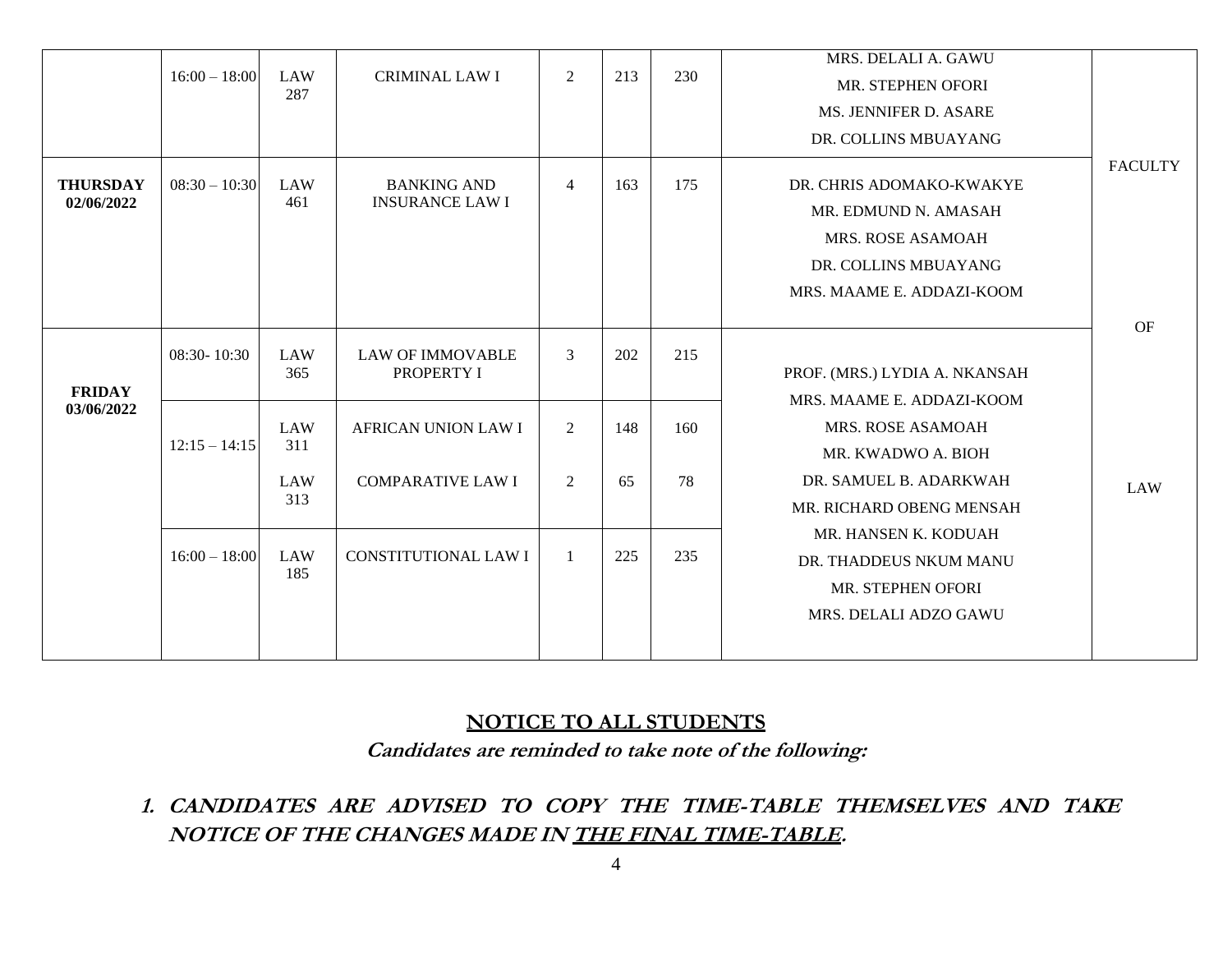|                               | $16:00 - 18:00$ | LAW<br>287                      | <b>CRIMINAL LAW I</b>                                  | $\boldsymbol{2}$      | 213       | 230       | MRS. DELALI A. GAWU<br>MR. STEPHEN OFORI<br>MS. JENNIFER D. ASARE                                                                                  |                |
|-------------------------------|-----------------|---------------------------------|--------------------------------------------------------|-----------------------|-----------|-----------|----------------------------------------------------------------------------------------------------------------------------------------------------|----------------|
| <b>THURSDAY</b><br>02/06/2022 | $08:30 - 10:30$ | LAW<br>461                      | <b>BANKING AND</b><br><b>INSURANCE LAW I</b>           | $\overline{4}$        | 163       | 175       | DR. COLLINS MBUAYANG<br>DR. CHRIS ADOMAKO-KWAKYE<br>MR. EDMUND N. AMASAH<br>MRS. ROSE ASAMOAH<br>DR. COLLINS MBUAYANG<br>MRS. MAAME E. ADDAZI-KOOM | <b>FACULTY</b> |
| <b>FRIDAY</b>                 | 08:30-10:30     | LAW<br>365                      | <b>LAW OF IMMOVABLE</b><br>PROPERTY I                  | $\mathfrak{Z}$        | 202       | 215       | PROF. (MRS.) LYDIA A. NKANSAH                                                                                                                      | OF             |
| 03/06/2022                    | $12:15 - 14:15$ | LAW<br>311<br><b>LAW</b><br>313 | <b>AFRICAN UNION LAW I</b><br><b>COMPARATIVE LAW I</b> | 2<br>$\boldsymbol{2}$ | 148<br>65 | 160<br>78 | MRS. MAAME E. ADDAZI-KOOM<br>MRS. ROSE ASAMOAH<br>MR. KWADWO A. BIOH<br>DR. SAMUEL B. ADARKWAH<br>MR. RICHARD OBENG MENSAH                         | <b>LAW</b>     |
|                               | $16:00 - 18:00$ | LAW<br>185                      | <b>CONSTITUTIONAL LAW I</b>                            | 1                     | 225       | 235       | MR. HANSEN K. KODUAH<br>DR. THADDEUS NKUM MANU<br>MR. STEPHEN OFORI<br>MRS. DELALI ADZO GAWU                                                       |                |

## **NOTICE TO ALL STUDENTS**

**Candidates are reminded to take note of the following:**

**1. CANDIDATES ARE ADVISED TO COPY THE TIME-TABLE THEMSELVES AND TAKE NOTICE OF THE CHANGES MADE IN THE FINAL TIME-TABLE.**